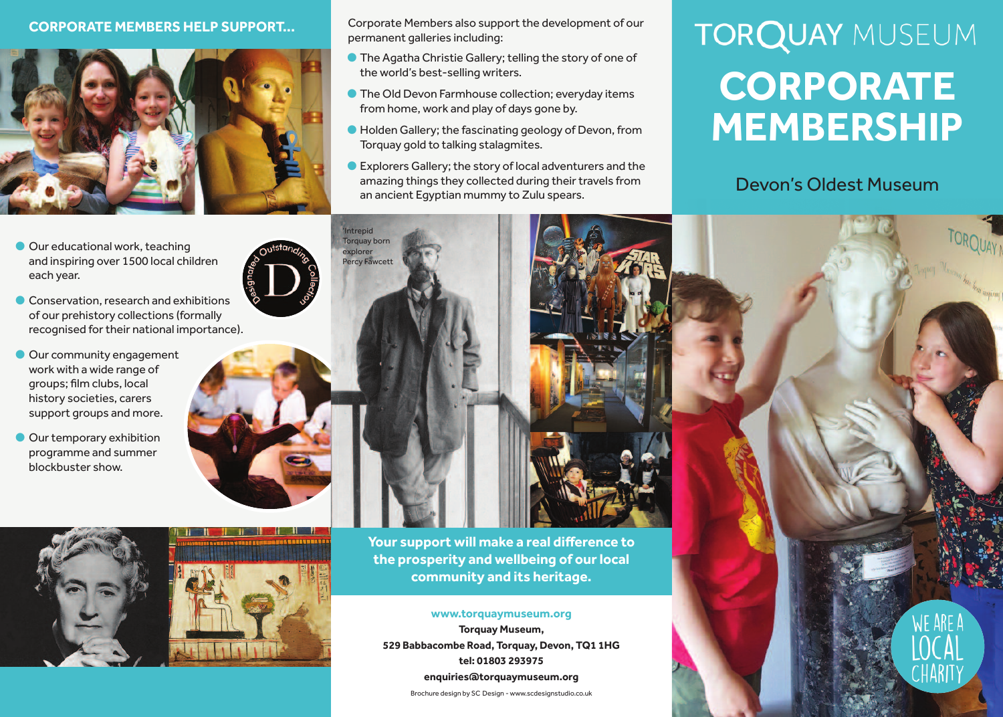### **CoRpoRaTe MeMBeRs Help suppoRT...**



- Our educational work, teaching and inspiring over 1500 local children each year.
- **Conservation, research and exhibitions** of our prehistory collections (formally recognised for their national importance).
- **Our community engagement** work with a wide range of groups; film clubs, local history societies, carers support groups and more.
- **Our temporary exhibition** programme and summer blockbuster show.



'Intrepid **Torquay born** explorer Percy Fawcett



Corporate Members also support the development of our permanent galleries including:

- **The Agatha Christie Gallery; telling the story of one of** the world's best-selling writers.
- **•** The Old Devon Farmhouse collection; everyday items from home, work and play of days gone by.
- l Holden Gallery;the fascinating geology of Devon, from Torquay gold to talking stalagmites.
- **•** Explorers Gallery; the story of local adventurers and the amazing things they collected during their travels from an ancient Egyptian mummy to Zulu spears.

# **TORQUAY MUSEUM CoRpoRaTe MeMBeRsHip**

## Devon's Oldest Museum

ARF 1



**Your support will make a real difference to the prosperity and wellbeing of ourlocal community and its heritage.**

#### **www.torquaymuseum.org**

**Torquay Museum, 529 Babbacombe Road, Torquay, Devon, TQ1 1HG tel: 01803 293975 enquiries@torquaymuseum.org**

Brochure design by SC Design - www.scdesignstudio.co.uk